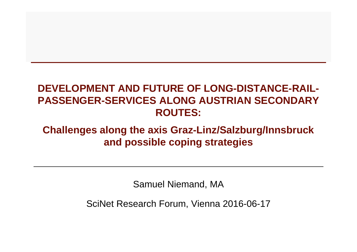#### **DEVELOPMENT AND FUTURE OF LONG-DISTANCE-RAIL-PASSENGER-SERVICES ALONG AUSTRIAN SECONDARY ROUTES:**

#### **Challenges along the axis Graz-Linz/Salzburg/Innsbruckand possible coping strategies**

Samuel Niemand, MA

SciNet Research Forum, Vienna 2016-06-17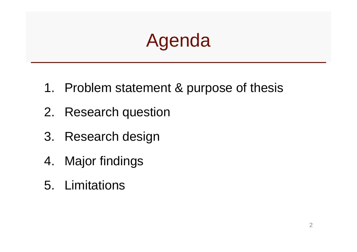# Agenda

- 1. Problem statement & purpose of thesis
- 2. Research question
- 3. Research design
- 4. Major findings
- 5. Limitations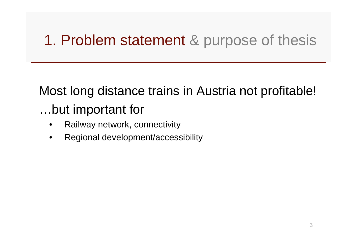Most long distance trains in Austria not profitable!…but important for

- •Railway network, connectivity
- •Regional development/accessibility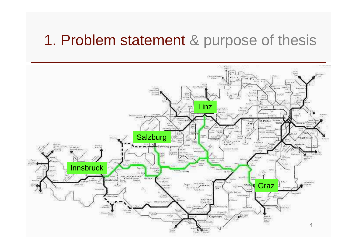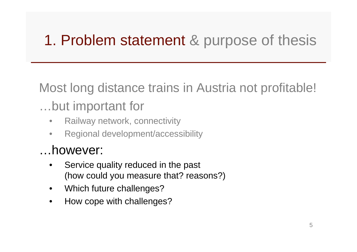Most long distance trains in Austria not profitable!

#### …but important for

- •Railway network, connectivity
- $\bullet$ Regional development/accessibility

#### …however:

- • Service quality reduced in the past (how could you measure that? reasons?)
- •Which future challenges?
- •How cope with challenges?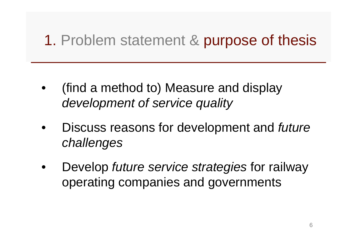- • (find a method to) Measure and display development of service quality
- • Discuss reasons for development and future challenges
- •Develop *future service strategies* for railway operating companies and governments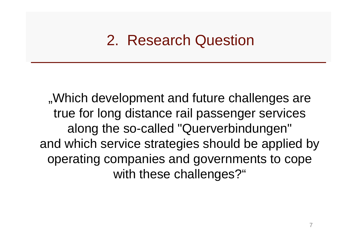#### 2. Research Question

..Which development and future challenges are true for long distance rail passenger services along the so-called "Querverbindungen" and which service strategies should be applied by operating companies and governments to cope with these challenges?"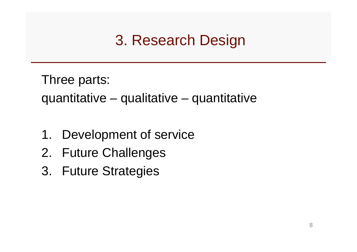Three parts: quantitative – qualitative – quantitative

- 1. Development of service
- 2. Future Challenges
- 3. Future Strategies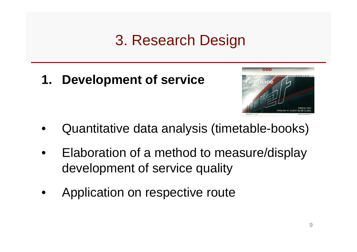**1. Development of service**



- •Quantitative data analysis (timetable-books)
- • Elaboration of a method to measure/display development of service quality
- •Application on respective route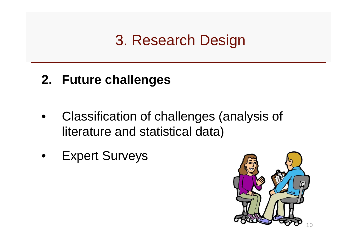#### **2. Future challenges**

- • Classification of challenges (analysis of literature and statistical data)
- •Expert Surveys

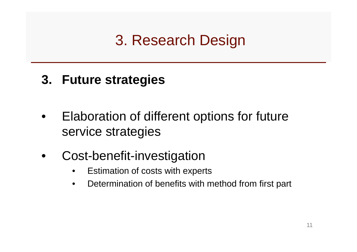#### **3. Future strategies**

- • Elaboration of different options for future service strategies
- • Cost-benefit-investigation
	- Estimation of costs with experts $\bullet$
	- •Determination of benefits with method from first part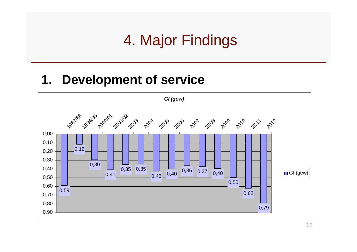#### 4. Major Findings

#### **1. Development of service**

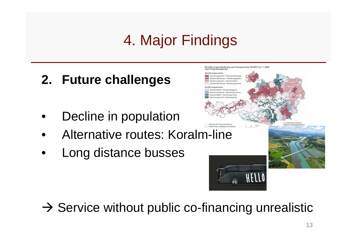## 4. Major Findings

#### **2. Future challenges**

- •Decline in population
- •Alternative routes: Koralm-line
- •Long distance busses



HELLO

 $\rightarrow$  Service without public co-financing unrealistic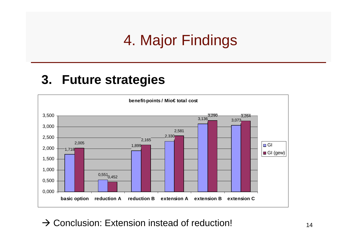## 4. Major Findings

#### **3. Future strategies**



 $\rightarrow$  Conclusion: Extension instead of reduction!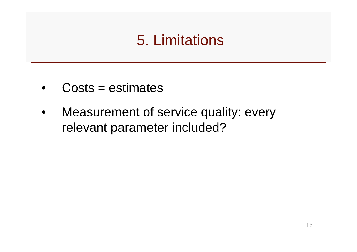## 5. Limitations

- •Costs = estimates
- • Measurement of service quality: every relevant parameter included?